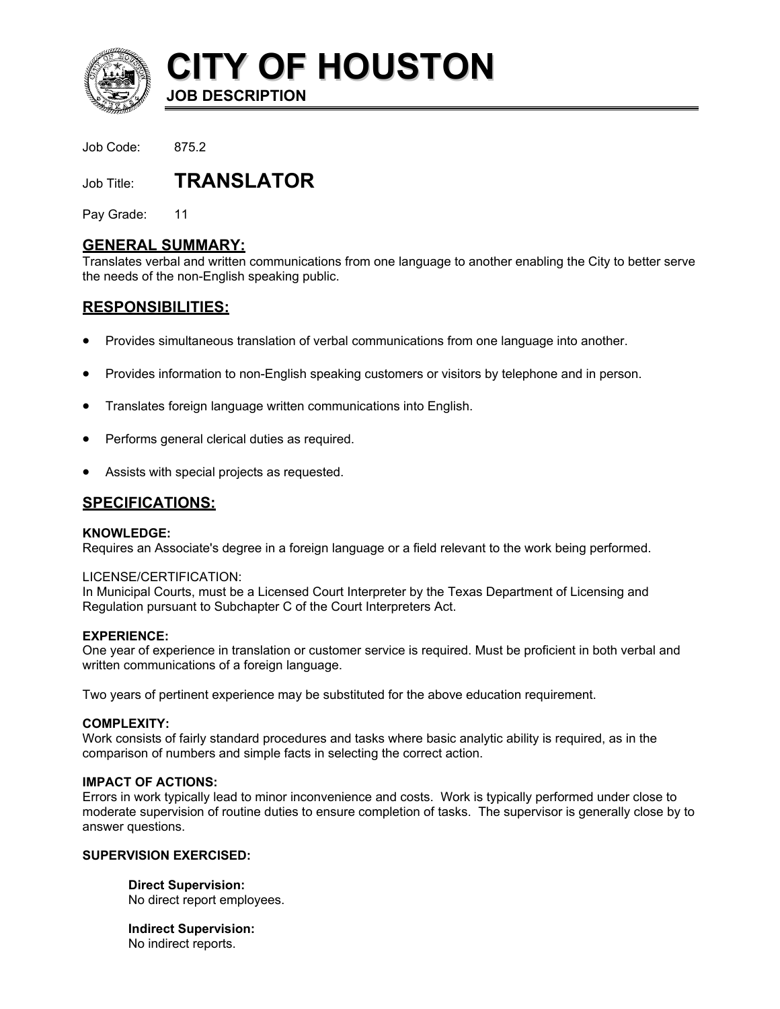

**CITY OF HOUSTON JOB DESCRIPTION** 

Job Code: 875.2

Job Title: **TRANSLATOR** 

Pay Grade: 11

## **GENERAL SUMMARY:**

Translates verbal and written communications from one language to another enabling the City to better serve the needs of the non-English speaking public.

# **RESPONSIBILITIES:**

- Provides simultaneous translation of verbal communications from one language into another.
- Provides information to non-English speaking customers or visitors by telephone and in person.
- Translates foreign language written communications into English.
- Performs general clerical duties as required.
- Assists with special projects as requested.

## **SPECIFICATIONS:**

### **KNOWLEDGE:**

Requires an Associate's degree in a foreign language or a field relevant to the work being performed.

### LICENSE/CERTIFICATION:

In Municipal Courts, must be a Licensed Court Interpreter by the Texas Department of Licensing and Regulation pursuant to Subchapter C of the Court Interpreters Act.

### **EXPERIENCE:**

One year of experience in translation or customer service is required. Must be proficient in both verbal and written communications of a foreign language.

Two years of pertinent experience may be substituted for the above education requirement.

### **COMPLEXITY:**

Work consists of fairly standard procedures and tasks where basic analytic ability is required, as in the comparison of numbers and simple facts in selecting the correct action.

### **IMPACT OF ACTIONS:**

Errors in work typically lead to minor inconvenience and costs. Work is typically performed under close to moderate supervision of routine duties to ensure completion of tasks. The supervisor is generally close by to answer questions.

### **SUPERVISION EXERCISED:**

**Direct Supervision:** No direct report employees.

**Indirect Supervision:** No indirect reports.